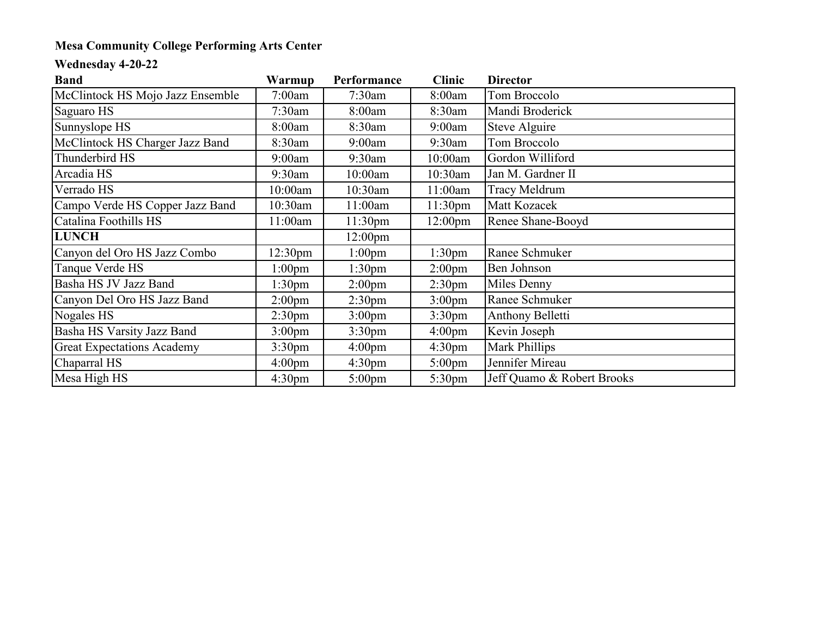## **Mesa Community College Performing Arts Center**

## **Wednesday 4-20-22**

| <b>Band</b>                       | Warmup             | Performance         | <b>Clinic</b>       | <b>Director</b>            |
|-----------------------------------|--------------------|---------------------|---------------------|----------------------------|
| McClintock HS Mojo Jazz Ensemble  | 7:00am             | $7:30$ am           | 8:00am              | Tom Broccolo               |
| Saguaro HS                        | $7:30$ am          | 8:00am              | 8:30am              | Mandi Broderick            |
| Sunnyslope HS                     | 8:00am             | 8:30am              | 9:00am              | Steve Alguire              |
| McClintock HS Charger Jazz Band   | 8:30am             | 9:00am              | $9:30$ am           | Tom Broccolo               |
| Thunderbird HS                    | 9:00am             | 9:30am              | 10:00am             | Gordon Williford           |
| Arcadia HS                        | $9:30$ am          | 10:00am             | 10:30am             | Jan M. Gardner II          |
| Verrado HS                        | 10:00am            | 10:30am             | 11:00am             | Tracy Meldrum              |
| Campo Verde HS Copper Jazz Band   | 10:30am            | 11:00am             | 11:30 <sub>pm</sub> | Matt Kozacek               |
| Catalina Foothills HS             | 11:00am            | 11:30 <sub>pm</sub> | 12:00 <sub>pm</sub> | Renee Shane-Booyd          |
| <b>LUNCH</b>                      |                    | $12:00 \text{pm}$   |                     |                            |
| Canyon del Oro HS Jazz Combo      | $12:30 \text{pm}$  | 1:00 <sub>pm</sub>  | 1:30 <sub>pm</sub>  | Ranee Schmuker             |
| Tanque Verde HS                   | 1:00 <sub>pm</sub> | 1:30 <sub>pm</sub>  | 2:00 <sub>pm</sub>  | Ben Johnson                |
| Basha HS JV Jazz Band             | 1:30 <sub>pm</sub> | 2:00 <sub>pm</sub>  | 2:30 <sub>pm</sub>  | Miles Denny                |
| Canyon Del Oro HS Jazz Band       | 2:00 <sub>pm</sub> | 2:30 <sub>pm</sub>  | 3:00 <sub>pm</sub>  | Ranee Schmuker             |
| Nogales HS                        | 2:30 <sub>pm</sub> | 3:00 <sub>pm</sub>  | 3:30 <sub>pm</sub>  | Anthony Belletti           |
| Basha HS Varsity Jazz Band        | 3:00 <sub>pm</sub> | 3:30 <sub>pm</sub>  | 4:00 <sub>pm</sub>  | Kevin Joseph               |
| <b>Great Expectations Academy</b> | 3:30 <sub>pm</sub> | 4:00 <sub>pm</sub>  | 4:30 <sub>pm</sub>  | Mark Phillips              |
| Chaparral HS                      | $4:00 \text{pm}$   | 4:30 <sub>pm</sub>  | $5:00 \text{pm}$    | Jennifer Mireau            |
| Mesa High HS                      | 4:30 <sub>pm</sub> | $5:00 \text{pm}$    | 5:30 <sub>pm</sub>  | Jeff Quamo & Robert Brooks |